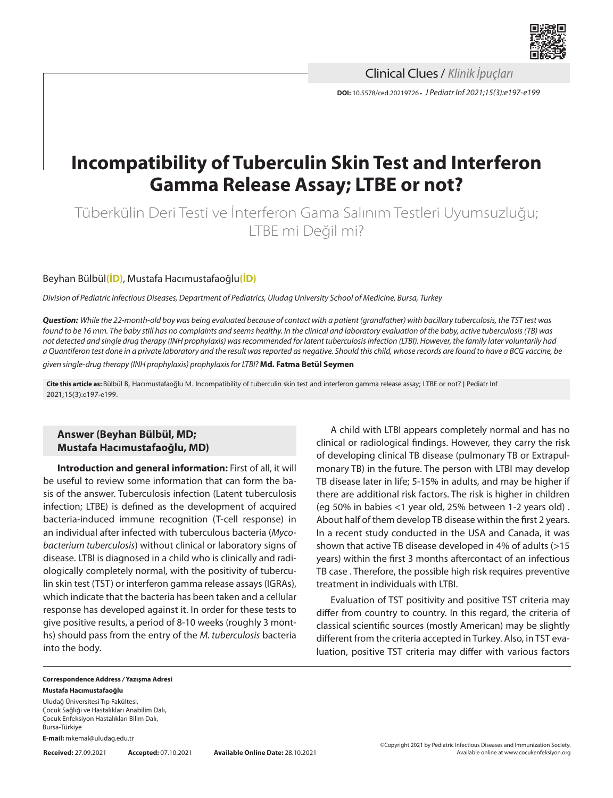

**DOI:** 10.5578/ced.20219726 **•** *J Pediatr Inf 2021;15(3):e197-e199* Clinical Clues / *Klinik İpuçları*

# **Incompatibility of Tuberculin Skin Test and Interferon Gamma Release Assay; LTBE or not?**

Tüberkülin Deri Testi ve İnterferon Gama Salınım Testleri Uyumsuzluğu; LTBE mi Değil mi?

## Beyhan Bülbül**[\(İD\)](https://orcid.org/0000-0002-5720-1212)**, Mustafa Hacımustafaoğlu**[\(İD\)](https://orcid.org/0000-0003-4646-660X)**

*Division of Pediatric Infectious Diseases, Department of Pediatrics, Uludag University School of Medicine, Bursa, Turkey*

*Question: While the 22-month-old boy was being evaluated because of contact with a patient (grandfather) with bacillary tuberculosis, the TST test was found to be 16 mm. The baby still has no complaints and seems healthy. In the clinical and laboratory evaluation of the baby, active tuberculosis (TB) was not detected and single drug therapy (INH prophylaxis) was recommended for latent tuberculosis infection (LTBI). However, the family later voluntarily had a Quantiferon test done in a private laboratory and the result was reported as negative. Should this child, whose records are found to have a BCG vaccine, be* 

*given single-drug therapy (INH prophylaxis) prophylaxis for LTBI?* **Md. Fatma Betül Seymen**

**Cite this article as:** Bülbül B, Hacımustafaoğlu M. Incompatibility of tuberculin skin test and interferon gamma release assay; LTBE or not? J Pediatr Inf 2021;15(3):e197-e199.

# **Answer (Beyhan Bülbül, MD; Mustafa Hacımustafaoğlu, MD)**

**Introduction and general information:** First of all, it will be useful to review some information that can form the basis of the answer. Tuberculosis infection (Latent tuberculosis infection; LTBE) is defined as the development of acquired bacteria-induced immune recognition (T-cell response) in an individual after infected with tuberculous bacteria (*Mycobacterium tuberculosis*) without clinical or laboratory signs of disease. LTBI is diagnosed in a child who is clinically and radiologically completely normal, with the positivity of tuberculin skin test (TST) or interferon gamma release assays (IGRAs), which indicate that the bacteria has been taken and a cellular response has developed against it. In order for these tests to give positive results, a period of 8-10 weeks (roughly 3 months) should pass from the entry of the *M. tuberculosis* bacteria into the body.

A child with LTBI appears completely normal and has no clinical or radiological findings. However, they carry the risk of developing clinical TB disease (pulmonary TB or Extrapulmonary TB) in the future. The person with LTBI may develop TB disease later in life; 5-15% in adults, and may be higher if there are additional risk factors. The risk is higher in children (eg 50% in babies <1 year old, 25% between 1-2 years old) . About half of them develop TB disease within the first 2 years. In a recent study conducted in the USA and Canada, it was shown that active TB disease developed in 4% of adults (>15 years) within the first 3 months aftercontact of an infectious TB case . Therefore, the possible high risk requires preventive treatment in individuals with LTBI.

Evaluation of TST positivity and positive TST criteria may differ from country to country. In this regard, the criteria of classical scientific sources (mostly American) may be slightly different from the criteria accepted in Turkey. Also, in TST evaluation, positive TST criteria may differ with various factors

#### **Correspondence Address** */* **Yazışma Adresi Mustafa Hacımustafaoğlu**

Uludağ Üniversitesi Tıp Fakültesi,

Çocuk Sağlığı ve Hastalıkları Anabilim Dalı, Çocuk Enfeksiyon Hastalıkları Bilim Dalı, Bursa-Türkiye

**E-mail:** mkemal@uludag.edu.tr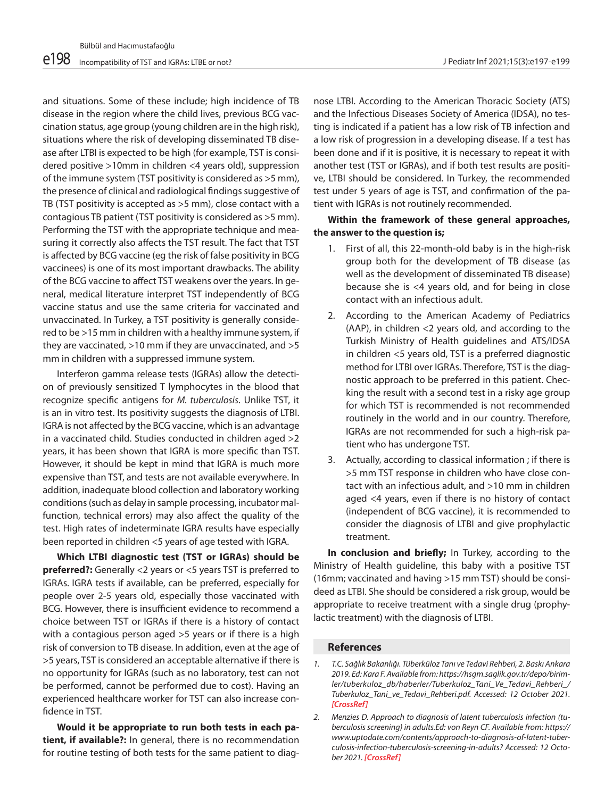and situations. Some of these include; high incidence of TB disease in the region where the child lives, previous BCG vaccination status, age group (young children are in the high risk), situations where the risk of developing disseminated TB disease after LTBI is expected to be high (for example, TST is considered positive >10mm in children <4 years old), suppression of the immune system (TST positivity is considered as >5 mm), the presence of clinical and radiological findings suggestive of TB (TST positivity is accepted as >5 mm), close contact with a contagious TB patient (TST positivity is considered as >5 mm). Performing the TST with the appropriate technique and measuring it correctly also affects the TST result. The fact that TST is affected by BCG vaccine (eg the risk of false positivity in BCG vaccinees) is one of its most important drawbacks. The ability of the BCG vaccine to affect TST weakens over the years. In general, medical literature interpret TST independently of BCG vaccine status and use the same criteria for vaccinated and unvaccinated. In Turkey, a TST positivity is generally considered to be >15 mm in children with a healthy immune system, if they are vaccinated, >10 mm if they are unvaccinated, and >5 mm in children with a suppressed immune system.

Interferon gamma release tests (IGRAs) allow the detection of previously sensitized T lymphocytes in the blood that recognize specific antigens for *M. tuberculosis*. Unlike TST, it is an in vitro test. Its positivity suggests the diagnosis of LTBI. IGRA is not affected by the BCG vaccine, which is an advantage in a vaccinated child. Studies conducted in children aged >2 years, it has been shown that IGRA is more specific than TST. However, it should be kept in mind that IGRA is much more expensive than TST, and tests are not available everywhere. In addition, inadequate blood collection and laboratory working conditions (such as delay in sample processing, incubator malfunction, technical errors) may also affect the quality of the test. High rates of indeterminate IGRA results have especially been reported in children <5 years of age tested with IGRA.

**Which LTBI diagnostic test (TST or IGRAs) should be preferred?:** Generally <2 years or <5 years TST is preferred to IGRAs. IGRA tests if available, can be preferred, especially for people over 2-5 years old, especially those vaccinated with BCG. However, there is insufficient evidence to recommend a choice between TST or IGRAs if there is a history of contact with a contagious person aged >5 years or if there is a high risk of conversion to TB disease. In addition, even at the age of >5 years, TST is considered an acceptable alternative if there is no opportunity for IGRAs (such as no laboratory, test can not be performed, cannot be performed due to cost). Having an experienced healthcare worker for TST can also increase confidence in TST.

**Would it be appropriate to run both tests in each patient, if available?:** In general, there is no recommendation for routine testing of both tests for the same patient to diagnose LTBI. According to the American Thoracic Society (ATS) and the Infectious Diseases Society of America (IDSA), no testing is indicated if a patient has a low risk of TB infection and a low risk of progression in a developing disease. If a test has been done and if it is positive, it is necessary to repeat it with another test (TST or IGRAs), and if both test results are positive, LTBI should be considered. In Turkey, the recommended test under 5 years of age is TST, and confirmation of the patient with IGRAs is not routinely recommended.

# **Within the framework of these general approaches, the answer to the question is;**

- 1. First of all, this 22-month-old baby is in the high-risk group both for the development of TB disease (as well as the development of disseminated TB disease) because she is <4 years old, and for being in close contact with an infectious adult.
- 2. According to the American Academy of Pediatrics (AAP), in children <2 years old, and according to the Turkish Ministry of Health guidelines and ATS/IDSA in children <5 years old, TST is a preferred diagnostic method for LTBI over IGRAs. Therefore, TST is the diagnostic approach to be preferred in this patient. Checking the result with a second test in a risky age group for which TST is recommended is not recommended routinely in the world and in our country. Therefore, IGRAs are not recommended for such a high-risk patient who has undergone TST.
- 3. Actually, according to classical information ; if there is >5 mm TST response in children who have close contact with an infectious adult, and >10 mm in children aged <4 years, even if there is no history of contact (independent of BCG vaccine), it is recommended to consider the diagnosis of LTBI and give prophylactic treatment.

**In conclusion and briefly;** In Turkey, according to the Ministry of Health guideline, this baby with a positive TST (16mm; vaccinated and having >15 mm TST) should be consideed as LTBI. She should be considered a risk group, would be appropriate to receive treatment with a single drug (prophylactic treatment) with the diagnosis of LTBI.

### **References**

*1. T.C. Sağlık Bakanlığı. Tüberküloz Tanı ve Tedavi Rehberi, 2. Baskı Ankara 2019. Ed: Kara F. Available from: https://hsgm.saglik.gov.tr/depo/birimler/tuberkuloz\_db/haberler/Tuberkuloz\_Tani\_Ve\_Tedavi\_Rehberi\_/ Tuberkuloz\_Tani\_ve\_Tedavi\_Rehberi.pdf. Accessed: 12 October 2021. [CrossRef]*

*<sup>2.</sup> Menzies D. Approach to diagnosis of latent tuberculosis infection (tuberculosis screening) in adults.Ed: von Reyn CF. Available from: https:// www.uptodate.com/contents/approach-to-diagnosis-of-latent-tuberculosis-infection-tuberculosis-screening-in-adults? Accessed: 12 October 2021. [CrossRef]*